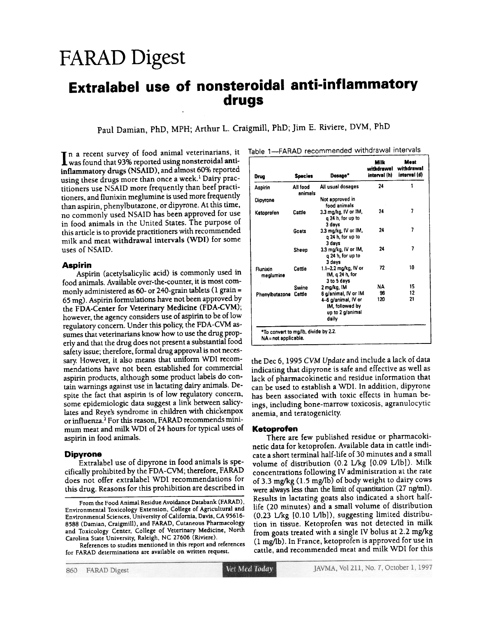# FARAD Digest

## Extralabel use of nonsteroidal anti-inflammatory drugs

Paul Damian, PhD, MPH; Arthur L. Craigmill, PhD; Jim E. Riviere, DVM, PhD

I n a recent survey of food animal veterinarians, it was found that 93% reported using nonsteroidal antiinflammatory dmgs (NSAlD), and almost 60% reported using these drugs more than once a week.<sup>1</sup> Dairy practitioners use NSAID more frequently than beef practitioners, and flunixin meglumine is used more frequently than aspirin, phenylbutazone, or dipyrone. At this time, no commonly used NSAID has been approved for use in food animals in the United States. The purpose of this article is to provide practitioners with recommended milk and meat withdrawal intervals (WDI) for some uses of NSAID.

**Aspirin**<br>Aspirin (acetylsalicylic acid) is commonly used in food animals. Available over-the-counter, it is most commonly administered as  $60$ - or 240-grain tablets (1 grain = 65 mg). Aspirin formulations have not been approved by the FDA-Center for Veterinary Medicine (FDA-CVM); however, the agency considers use of aspirin to be of low regulatory concern. Under this policy, the FDA-CVM assumes that veterinarians know how to use the drug properly and that the drug does not present a substantial food safety issue; therefore, formal drug approval is not necessary. However, it also means that uniform WDI recommendations have not been established for commercial aspirin products, although some product labels do contain warnings against use in lactating dairy animals. Despite the fact that aspirin is of low regulatory concern, some epidemiologic data suggest a link between salicylates and Reye's syndrome in children with chickenpox or influenza.<sup>2</sup> For this reason, FARAD recommends minimum meat and milk WDI of 24 hours for typical uses of aspirin in food animals.

#### Dipyrone

Extralabel use of dipyrone in food animals is specifically prohibited by the FDA-CVM; therefore, FARAD does not offer extralabel WDI recommendations for this drug. Reasons for this prohibition are described in

References to studies mentioned in this report and references for FARAD determinations are available on written request.

| Drug                  | <b>Species</b>      | Dosage*                                                             | Milk<br>withdrawal<br>interval (h) | Meat<br>withdrawal<br>interval (d) |
|-----------------------|---------------------|---------------------------------------------------------------------|------------------------------------|------------------------------------|
| Aspirin               | All food<br>animals | All usual dosages                                                   | 24                                 | 1                                  |
| Dipyrone              |                     | Not approved in<br>food animals                                     |                                    |                                    |
| Ketoprofen            | Cattle              | 3.3 mg/kg, IV or IM,<br>g 24 h, for up to<br>3 days                 | 24                                 | 7                                  |
|                       | Goats               | 3.3 mg/kg, IV or IM,<br>g 24 h, for up to<br>3 days                 | 24                                 | 7                                  |
|                       | Sheep               | 3.3 mg/kg, IV or IM,<br>g 24 h, for up to<br>3 days                 | 24                                 | 7                                  |
| Flunixin<br>meglumine | Cattle              | 1.1–2.2 mg/kg, IV or<br>IM, g 24 h, for<br>3 to 5 days              | 72                                 | 10                                 |
|                       | Swine               | 2 mg/kg, IM                                                         | NA                                 | 15                                 |
| Phenyibutazone Cattle |                     | 6 g/animal, IV or IM                                                | 96                                 | 12                                 |
|                       |                     | 4–6 g/animal, IV or<br>IM, followed by<br>up to 2 g/animal<br>daily | 120                                | 21                                 |

the Dec 6, 1995 GYM Update and include a lack of data indicating that dipyrone is safe and effective as well as lack of pharmacokinetic and residue information that can be used to establish a WDI. In addition, dipyrone has been associated with toxic effects in human beings, including bone-marrow toxicosis, agranulocytic anemia, and teratogenicity.

#### Ketoprofen

There are few published residue or pharmacokinetic data for ketoprofen. Available data in cattle indicate a short terminal half-life of 30 minutes and a small volume of distribution (0.2 Ukg [0.09 IJ1b]). Milk concentrations following IV administration at the rate of 3.3 mg/kg (1.5 mg/lb) of body weight to dairy cows were always less than the limit of quantitation (27 ng/ml). Results in lactating goats also indicated a short halflife (20 minutes) and a small volume of distribution (0.23 Ukg [0.10 IJ1b]), suggesting limited distribution in tissue. Ketoprofen was not detected in milk from goats treated with a single IV bolus at 2.2 mg/kg (1 mg/ib). In France, ketoprofen is approved for use in cattle, and recommended meat and milk WDI for this

Prom the Food Animal Residue Avoidance Databank (FARAD), Environmental Toxicology Extension, College of Agricultural and Environmental Sciences, University of California, Davis, CA 95616-8588 (Damian, Craigmill), and FARAD, Cutaneous Pharmacology and Toxicology Center, College of Veterinary Medicine, North Carolina State University, Raleigh, NC 27606 (Riviere).